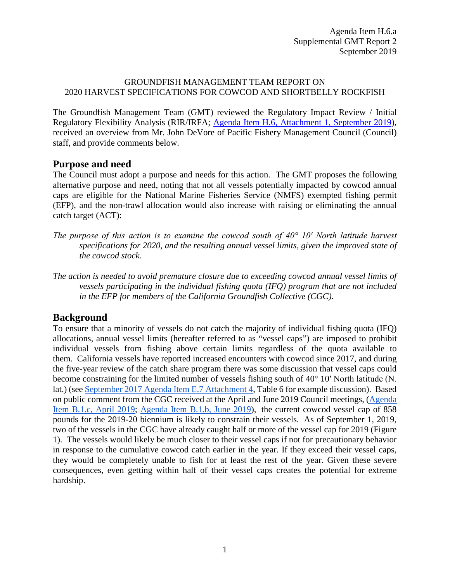## GROUNDFISH MANAGEMENT TEAM REPORT ON 2020 HARVEST SPECIFICATIONS FOR COWCOD AND SHORTBELLY ROCKFISH

The Groundfish Management Team (GMT) reviewed the Regulatory Impact Review / Initial Regulatory Flexibility Analysis (RIR/IRFA; [Agenda Item H.6,](https://www.pcouncil.org/wp-content/uploads/2019/08/H6_Att1_Cowcod-Shortbelly-RIR-IRFA_SEPT2019BB.pdf) Attachment 1, September 2019), received an overview from Mr. John DeVore of Pacific Fishery Management Council (Council) staff, and provide comments below.

## **Purpose and need**

The Council must adopt a purpose and needs for this action. The GMT proposes the following alternative purpose and need, noting that not all vessels potentially impacted by cowcod annual caps are eligible for the National Marine Fisheries Service (NMFS) exempted fishing permit (EFP), and the non-trawl allocation would also increase with raising or eliminating the annual catch target (ACT):

- *The purpose of this action is to examine the cowcod south of 40° 10′ North latitude harvest specifications for 2020, and the resulting annual vessel limits, given the improved state of the cowcod stock.*
- *The action is needed to avoid premature closure due to exceeding cowcod annual vessel limits of vessels participating in the individual fishing quota (IFQ) program that are not included in the EFP for members of the California Groundfish Collective (CGC).*

## **Background**

To ensure that a minority of vessels do not catch the majority of individual fishing quota (IFQ) allocations, annual vessel limits (hereafter referred to as "vessel caps") are imposed to prohibit individual vessels from fishing above certain limits regardless of the quota available to them. California vessels have reported increased encounters with cowcod since 2017, and during the five-year review of the catch share program there was some discussion that vessel caps could become constraining for the limited number of vessels fishing south of 40° 10′ North latitude (N. lat.) (see [September 2017 Agenda Item E.7 Attachment 4,](http://www.pcouncil.org/wp-content/uploads/2017/08/E7_Att4_Follow-on_Action_DiscussionDoc_SEPT2017BB.pdf) Table 6 for example discussion). Based on public comment from the CGC received at the April and June 2019 Council meetings, [\(Agenda](https://pfmc.psmfc.org/CommentReview/DownloadFile?p=f2d8ab2d-8e94-4bf9-8787-b01c42327fc6.pdf&fileName=cgc_letter_cowcod-April2019-BB.pdf)  [Item B.1.c, April 2019;](https://pfmc.psmfc.org/CommentReview/DownloadFile?p=f2d8ab2d-8e94-4bf9-8787-b01c42327fc6.pdf&fileName=cgc_letter_cowcod-April2019-BB.pdf) [Agenda Item B.1.b,](https://pfmc.psmfc.org/CommentReview/DownloadFile?p=077d8c31-9f4a-4d01-8643-85d9004d2336.pdf&fileName=cgc_letter_cowcod-June2019-BB_PFMC.pdf) June 2019), the current cowcod vessel cap of 858 pounds for the 2019-20 biennium is likely to constrain their vessels. As of September 1, 2019, two of the vessels in the CGC have already caught half or more of the vessel cap for 2019 [\(Figure](#page-1-0)  [1\)](#page-1-0). The vessels would likely be much closer to their vessel caps if not for precautionary behavior in response to the cumulative cowcod catch earlier in the year. If they exceed their vessel caps, they would be completely unable to fish for at least the rest of the year. Given these severe consequences, even getting within half of their vessel caps creates the potential for extreme hardship.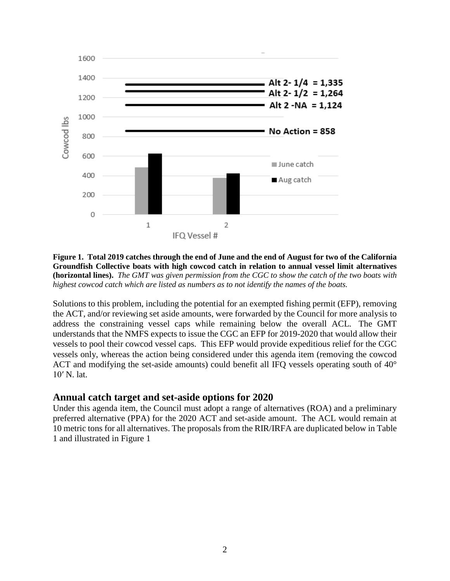

<span id="page-1-0"></span>**Figure 1. Total 2019 catches through the end of June and the end of August for two of the California Groundfish Collective boats with high cowcod catch in relation to annual vessel limit alternatives (horizontal lines).** *The GMT was given permission from the CGC to show the catch of the two boats with highest cowcod catch which are listed as numbers as to not identify the names of the boats.*

Solutions to this problem, including the potential for an exempted fishing permit (EFP), removing the ACT, and/or reviewing set aside amounts, were forwarded by the Council for more analysis to address the constraining vessel caps while remaining below the overall ACL. The GMT understands that the NMFS expects to issue the CGC an EFP for 2019-2020 that would allow their vessels to pool their cowcod vessel caps. This EFP would provide expeditious relief for the CGC vessels only, whereas the action being considered under this agenda item (removing the cowcod ACT and modifying the set-aside amounts) could benefit all IFQ vessels operating south of 40° 10′ N. lat.

## **Annual catch target and set-aside options for 2020**

Under this agenda item, the Council must adopt a range of alternatives (ROA) and a preliminary preferred alternative (PPA) for the 2020 ACT and set-aside amount. The ACL would remain at 10 metric tons for all alternatives. The proposals from the RIR/IRFA are duplicated below i[n Table](#page-2-0)  [1](#page-2-0) and illustrated in [Figure 1](#page-1-0)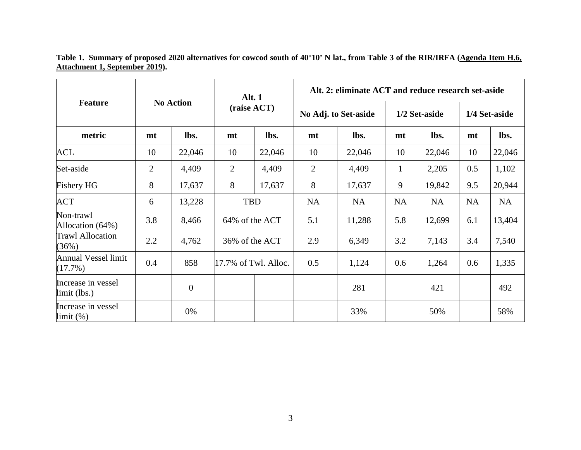**Table 1. Summary of proposed 2020 alternatives for cowcod south of 40°10' N lat., from Table 3 of the RIR/IRFA [\(Agenda Item H.6,](https://www.pcouncil.org/wp-content/uploads/2019/08/H6_Att1_Cowcod-Shortbelly-RIR-IRFA_SEPT2019BB.pdf) [Attachment 1, September 2019\)](https://www.pcouncil.org/wp-content/uploads/2019/08/H6_Att1_Cowcod-Shortbelly-RIR-IRFA_SEPT2019BB.pdf).**

<span id="page-2-0"></span>

| <b>Feature</b>                       | <b>No Action</b> |                | <b>Alt. 1</b><br>(raise ACT) |        | Alt. 2: eliminate ACT and reduce research set-aside |           |               |           |               |           |
|--------------------------------------|------------------|----------------|------------------------------|--------|-----------------------------------------------------|-----------|---------------|-----------|---------------|-----------|
|                                      |                  |                |                              |        | No Adj. to Set-aside                                |           | 1/2 Set-aside |           | 1/4 Set-aside |           |
| metric                               | mt               | lbs.           | mt                           | lbs.   | mt                                                  | lbs.      | mt            | lbs.      | mt            | lbs.      |
| <b>ACL</b>                           | 10               | 22,046         | 10                           | 22,046 | 10                                                  | 22,046    | 10            | 22,046    | 10            | 22,046    |
| Set-aside                            | $\overline{2}$   | 4,409          | $\overline{2}$               | 4,409  | $\overline{2}$                                      | 4,409     | $\mathbf{1}$  | 2,205     | 0.5           | 1,102     |
| <b>Fishery HG</b>                    | 8                | 17,637         | 8                            | 17,637 | 8                                                   | 17,637    | 9             | 19,842    | 9.5           | 20,944    |
| <b>ACT</b>                           | 6                | 13,228         | <b>TBD</b>                   |        | <b>NA</b>                                           | <b>NA</b> | <b>NA</b>     | <b>NA</b> | <b>NA</b>     | <b>NA</b> |
| Non-trawl<br>Allocation (64%)        | 3.8              | 8,466          | 64% of the ACT               |        | 5.1                                                 | 11,288    | 5.8           | 12,699    | 6.1           | 13,404    |
| <b>Trawl Allocation</b><br>(36%)     | 2.2              | 4,762          | 36% of the ACT               |        | 2.9                                                 | 6,349     | 3.2           | 7,143     | 3.4           | 7,540     |
| Annual Vessel limit<br>(17.7%)       | 0.4              | 858            | $17.7\%$ of Twl. Alloc.      |        | 0.5                                                 | 1,124     | 0.6           | 1,264     | 0.6           | 1,335     |
| Increase in vessel<br>$limit$ (lbs.) |                  | $\overline{0}$ |                              |        |                                                     | 281       |               | 421       |               | 492       |
| Increase in vessel<br>limit (%)      |                  | 0%             |                              |        |                                                     | 33%       |               | 50%       |               | 58%       |